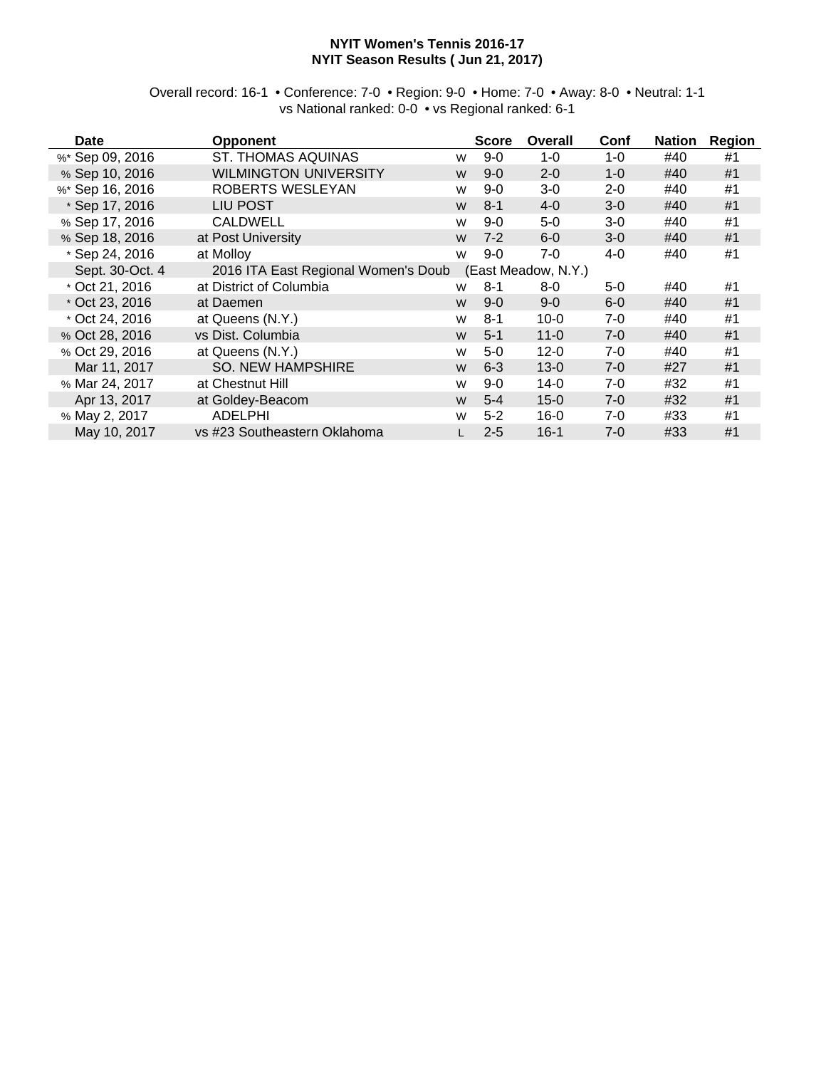#### **NYIT Women's Tennis 2016-17 NYIT Season Results ( Jun 21, 2017)**

Overall record: 16-1 • Conference: 7-0 • Region: 9-0 • Home: 7-0 • Away: 8-0 • Neutral: 1-1 vs National ranked: 0-0 • vs Regional ranked: 6-1

| <b>Date</b>     | <b>Opponent</b>                     |   | <b>Score</b> | Overall             | Conf    | <b>Nation</b> | <b>Region</b> |
|-----------------|-------------------------------------|---|--------------|---------------------|---------|---------------|---------------|
| %* Sep 09, 2016 | <b>ST. THOMAS AQUINAS</b>           | W | $9-0$        | $1 - 0$             | $1 - 0$ | #40           | #1            |
| % Sep 10, 2016  | <b>WILMINGTON UNIVERSITY</b>        | W | $9 - 0$      | $2 - 0$             | $1 - 0$ | #40           | #1            |
| %* Sep 16, 2016 | ROBERTS WESLEYAN                    | W | $9 - 0$      | 3-0                 | $2 - 0$ | #40           | #1            |
| * Sep 17, 2016  | <b>LIU POST</b>                     | W | $8 - 1$      | $4 - 0$             | $3-0$   | #40           | #1            |
| % Sep 17, 2016  | <b>CALDWELL</b>                     | W | $9 - 0$      | 5-0                 | $3-0$   | #40           | #1            |
| % Sep 18, 2016  | at Post University                  | W | $7 - 2$      | $6-0$               | $3-0$   | #40           | #1            |
| * Sep 24, 2016  | at Molloy                           | W | $9 - 0$      | 7-0                 | 4-0     | #40           | #1            |
| Sept. 30-Oct. 4 | 2016 ITA East Regional Women's Doub |   |              | (East Meadow, N.Y.) |         |               |               |
| * Oct 21, 2016  | at District of Columbia             | W | $8 - 1$      | 8-0                 | $5-0$   | #40           | #1            |
| * Oct 23, 2016  | at Daemen                           | W | $9 - 0$      | $9 - 0$             | $6 - 0$ | #40           | #1            |
| * Oct 24, 2016  | at Queens (N.Y.)                    | W | $8 - 1$      | $10 - 0$            | $7-0$   | #40           | #1            |
| % Oct 28, 2016  | vs Dist. Columbia                   | W | $5 - 1$      | $11 - 0$            | $7 - 0$ | #40           | #1            |
| % Oct 29, 2016  | at Queens (N.Y.)                    | W | $5-0$        | $12 - 0$            | $7-0$   | #40           | #1            |
| Mar 11, 2017    | <b>SO. NEW HAMPSHIRE</b>            | W | $6 - 3$      | $13 - 0$            | $7-0$   | #27           | #1            |
| % Mar 24, 2017  | at Chestnut Hill                    | W | $9 - 0$      | $14-0$              | $7-0$   | #32           | #1            |
| Apr 13, 2017    | at Goldey-Beacom                    | W | $5 - 4$      | $15 - 0$            | $7-0$   | #32           | #1            |
| % May 2, 2017   | <b>ADELPHI</b>                      | W | $5 - 2$      | $16-0$              | $7-0$   | #33           | #1            |
| May 10, 2017    | vs #23 Southeastern Oklahoma        |   | $2 - 5$      | $16 - 1$            | $7 - 0$ | #33           | #1            |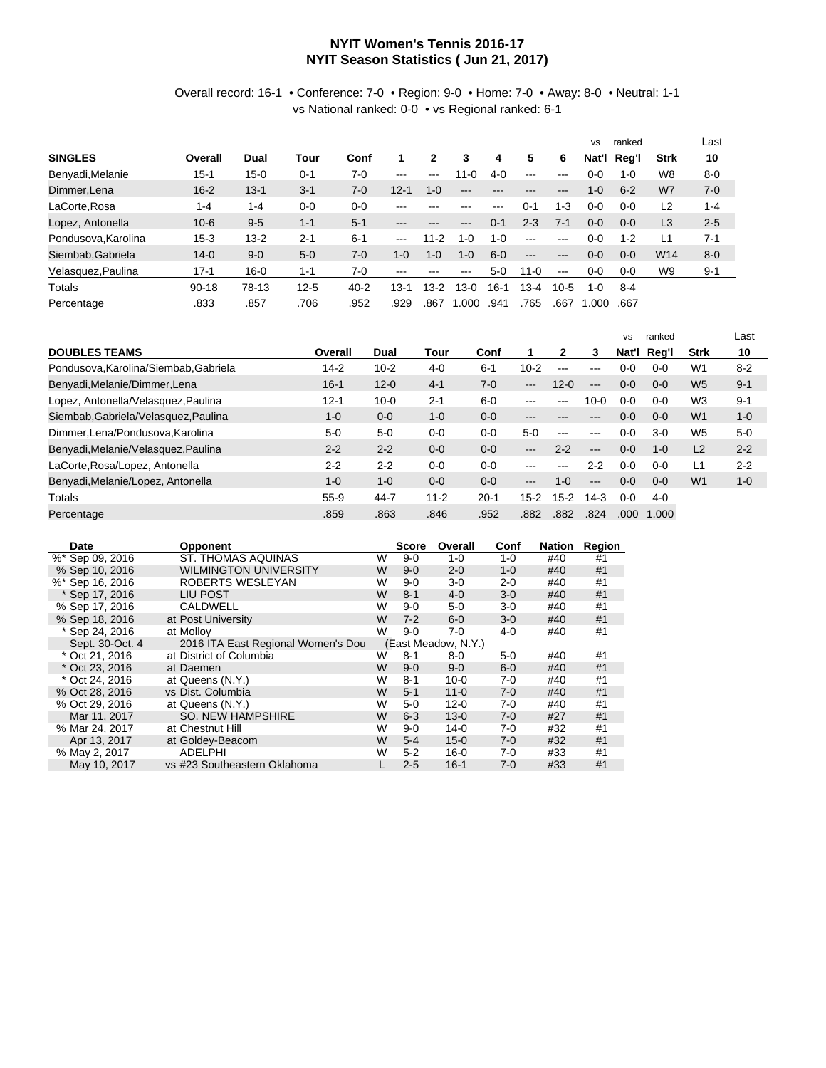#### **NYIT Women's Tennis 2016-17 NYIT Season Statistics ( Jun 21, 2017)**

#### Overall record: 16-1 • Conference: 7-0 • Region: 9-0 • Home: 7-0 • Away: 8-0 • Neutral: 1-1 vs National ranked: 0-0 • vs Regional ranked: 6-1

|                     |           |          |          |          |          |         |         |         |          |               | <b>VS</b>   | ranked  |                | Last    |
|---------------------|-----------|----------|----------|----------|----------|---------|---------|---------|----------|---------------|-------------|---------|----------------|---------|
| <b>SINGLES</b>      | Overall   | Dual     | Tour     | Conf     |          | 2       | 3       | 4       | 5        | 6             | Nat'l       | Reg'l   | <b>Strk</b>    | 10      |
| Benyadi, Melanie    | $15 - 1$  | $15 - 0$ | $0 - 1$  | $7-0$    | $---$    | $--$    | $1 - 0$ | $4-0$   | $---$    | $--$          | 0-0         | $1 - 0$ | W8             | $8 - 0$ |
| Dimmer, Lena        | $16 - 2$  | $13 - 1$ | $3 - 1$  | $7-0$    | $12 - 1$ | $1 - 0$ | $---$   | ---     | ---      | $---$         | $1 - 0$     | $6 - 2$ | W7             | $7 - 0$ |
| LaCorte, Rosa       | $1 - 4$   | $1 - 4$  | $0 - 0$  | $0 - 0$  | ---      |         | ---     | $-- -$  | $0 - 1$  | $1 - 3$       | $0 - 0$     | $0 - 0$ | L2             | $1 - 4$ |
| Lopez, Antonella    | $10 - 6$  | $9-5$    | $1 - 1$  | $5 - 1$  | ---      | ---     | ---     | $0 - 1$ | $2 - 3$  | $7 - 1$       | $0 - 0$     | $0 - 0$ | L <sub>3</sub> | $2 - 5$ |
| Pondusova, Karolina | $15 - 3$  | $13 - 2$ | $2 - 1$  | $6 - 1$  | $--$     | $11-2$  | 1-0     | $1 - 0$ | $---$    | $\frac{1}{2}$ | $0 - 0$     | $1 - 2$ | L1             | $7 - 1$ |
| Siembab, Gabriela   | $14 - 0$  | $9 - 0$  | $5-0$    | $7 - 0$  | $1 - 0$  | $1 - 0$ | $1 - 0$ | $6 - 0$ | $---$    | $---$         | $0 - 0$     | $0 - 0$ | W14            | $8 - 0$ |
| Velasquez, Paulina  | $17 - 1$  | $16 - 0$ | $1 - 1$  | $7-0$    | ---      |         | ---     | $5-0$   | $11 - 0$ | $\frac{1}{2}$ | $0 - 0$     | $0 - 0$ | W9             | $9 - 1$ |
| Totals              | $90 - 18$ | 78-13    | $12 - 5$ | $40 - 2$ | l 3-1    | $13-2$  | $3-0$   | 16-1    | $3-4$    | $10-5$        | 1- $\Omega$ | 8-4     |                |         |
| Percentage          | .833      | .857     | .706     | .952     | .929     | .867    | .000    | .941    | .765     | .667          | .000        | .667    |                |         |

|                                       |          |          |          |          |                            |               |               | <b>VS</b> | ranked  |                | ∟ast    |
|---------------------------------------|----------|----------|----------|----------|----------------------------|---------------|---------------|-----------|---------|----------------|---------|
| <b>DOUBLES TEAMS</b>                  | Overall  | Dual     | Tour     | Conf     | 1                          | 2             | 3             | Nat'l     | Reg'l   | Strk           | 10      |
| Pondusova, Karolina/Siembab, Gabriela | $14 - 2$ | $10 - 2$ | $4 - 0$  | $6 - 1$  | $10 - 2$                   | $-- -$        | ---           | $0 - 0$   | $0 - 0$ | W <sub>1</sub> | $8 - 2$ |
| Benyadi, Melanie/Dimmer, Lena         | $16 - 1$ | $12 - 0$ | $4 - 1$  | $7-0$    | $-- -$                     | $12 - 0$      | $---$         | $0 - 0$   | $0 - 0$ | W <sub>5</sub> | $9 - 1$ |
| Lopez, Antonella/Velasquez, Paulina   | $12 - 1$ | $10 - 0$ | $2 - 1$  | $6-0$    | $--$                       | ---           | 10-0          | $0-0$     | $0 - 0$ | W <sub>3</sub> | $9 - 1$ |
| Siembab, Gabriela/Velasquez, Paulina  | $1 - 0$  | $0 - 0$  | $1 - 0$  | $0 - 0$  | ---                        |               | ---           | $0-0$     | $0 - 0$ | W <sub>1</sub> | $1 - 0$ |
| Dimmer, Lena/Pondusova, Karolina      | $5-0$    | $5-0$    | $0 - 0$  | $0 - 0$  | $5-0$                      | $\frac{1}{2}$ | $\frac{1}{2}$ | $0 - 0$   | $3-0$   | W <sub>5</sub> | $5-0$   |
| Benyadi, Melanie/Velasquez, Paulina   | $2 - 2$  | $2 - 2$  | $0 - 0$  | $0 - 0$  | $\qquad \qquad - \qquad -$ | $2 - 2$       | $---$         | $0 - 0$   | $1 - 0$ | L2             | $2 - 2$ |
| LaCorte, Rosa/Lopez, Antonella        | $2 - 2$  | $2 - 2$  | $0 - 0$  | $0-0$    | ---                        |               | $2 - 2$       | $0 - 0$   | $0 - 0$ | L1             | $2 - 2$ |
| Benyadi, Melanie/Lopez, Antonella     | $1 - 0$  | $1 - 0$  | $0 - 0$  | $0 - 0$  | $\qquad \qquad - \qquad -$ | $1 - 0$       | $---$         | $0 - 0$   | $0 - 0$ | W <sub>1</sub> | $1 - 0$ |
| Totals                                | $55-9$   | 44-7     | $11 - 2$ | $20 - 1$ | $15 - 2$                   | $15-2$        | $14-3$        | $0-0$     | $4-0$   |                |         |
| Percentage                            | .859     | .863     | .846     | .952     | .882                       | .882          | .824          | .000      | 1.000   |                |         |

| Date             | <b>Opponent</b>                    |   | Score   | Overall             | Conf    | Nation | Region |
|------------------|------------------------------------|---|---------|---------------------|---------|--------|--------|
| %* Sep 09, 2016  | ST. THOMAS AQUINAS                 | W | $9 - 0$ | $1 - 0$             | 1-0     | #40    | #1     |
| % Sep 10, 2016   | <b>WILMINGTON UNIVERSITY</b>       | W | $9 - 0$ | $2 - 0$             | $1 - 0$ | #40    | #1     |
| %* Sep 16, 2016  | ROBERTS WESLEYAN                   | W | $9-0$   | $3-0$               | $2 - 0$ | #40    | #1     |
| * Sep 17, 2016   | LIU POST                           | W | $8 - 1$ | $4 - 0$             | $3 - 0$ | #40    | #1     |
| % Sep 17, 2016   | <b>CALDWELL</b>                    | w | $9-0$   | $5-0$               | $3-0$   | #40    | #1     |
| % Sep 18, 2016   | at Post University                 | W | $7 - 2$ | $6 - 0$             | $3-0$   | #40    | #1     |
| * Sep 24, 2016   | at Molloy                          | W | $9-0$   | 7-0                 | $4 - 0$ | #40    | #1     |
| Sept. 30-Oct. 4  | 2016 ITA East Regional Women's Dou |   |         | (East Meadow, N.Y.) |         |        |        |
| * Oct 21, 2016   | at District of Columbia            | W | $8 - 1$ | 8-0                 | 5-0     | #40    | #1     |
| * Oct 23, 2016   | at Daemen                          | W | $9-0$   | $9 - 0$             | $6 - 0$ | #40    | #1     |
| $*$ Oct 24, 2016 | at Queens (N.Y.)                   | W | $8 - 1$ | $10 - 0$            | 7-0     | #40    | #1     |
| % Oct 28, 2016   | vs Dist. Columbia                  | W | $5 - 1$ | $11 - 0$            | $7 - 0$ | #40    | #1     |
| % Oct 29, 2016   | at Queens (N.Y.)                   | W | $5-0$   | $12 - 0$            | 7-0     | #40    | #1     |
| Mar 11, 2017     | <b>SO. NEW HAMPSHIRE</b>           | W | $6 - 3$ | $13 - 0$            | $7 - 0$ | #27    | #1     |
| % Mar 24, 2017   | at Chestnut Hill                   | W | $9 - 0$ | $14 - 0$            | $7-0$   | #32    | #1     |
| Apr 13, 2017     | at Goldey-Beacom                   | W | $5 - 4$ | $15 - 0$            | $7 - 0$ | #32    | #1     |
| % May 2, 2017    | <b>ADELPHI</b>                     | W | $5 - 2$ | $16 - 0$            | 7-0     | #33    | #1     |
| May 10, 2017     | vs #23 Southeastern Oklahoma       |   | $2 - 5$ | $16 - 1$            | $7 - 0$ | #33    | #1     |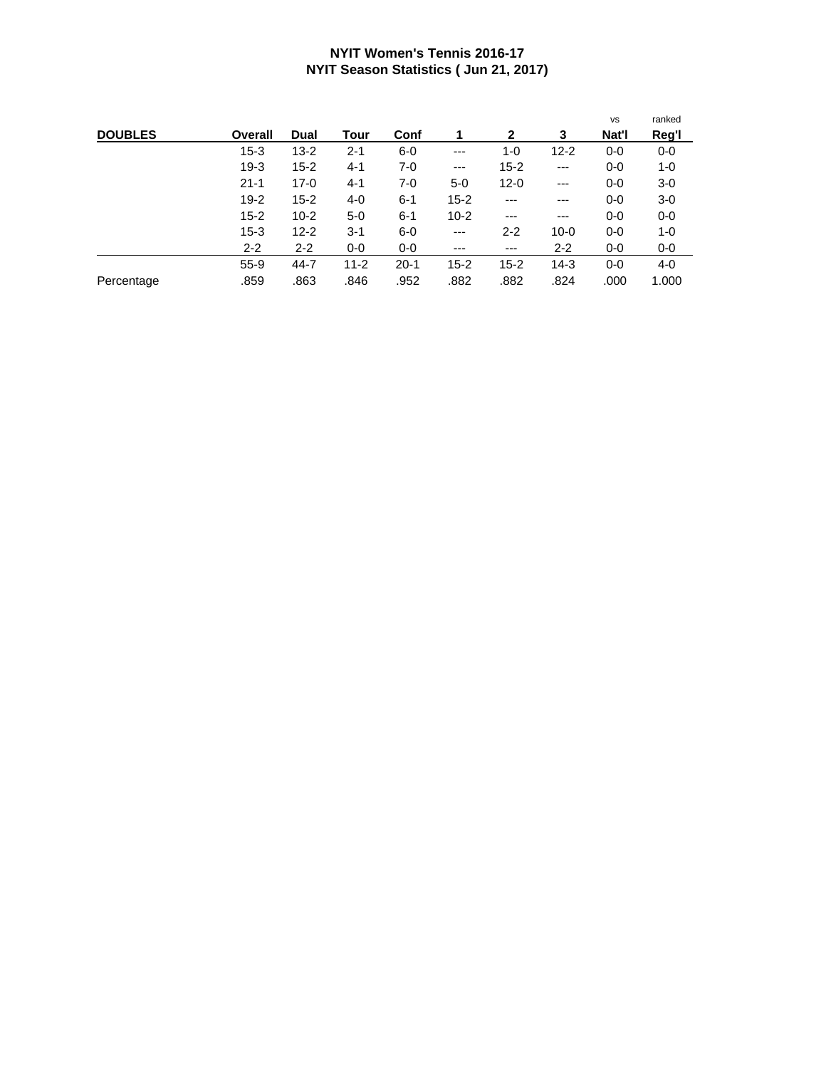#### **NYIT Women's Tennis 2016-17 NYIT Season Statistics ( Jun 21, 2017)**

|                |          |          |          |          |          |              |          | <b>VS</b> | ranked |
|----------------|----------|----------|----------|----------|----------|--------------|----------|-----------|--------|
| <b>DOUBLES</b> | Overall  | Dual     | Tour     | Conf     | 1        | $\mathbf{2}$ | 3        | Nat'l     | Reg'l  |
|                | $15 - 3$ | $13 - 2$ | $2 - 1$  | $6-0$    | ---      | 1-0          | $12 - 2$ | $0-0$     | $0-0$  |
|                | $19-3$   | $15 - 2$ | $4 - 1$  | $7-0$    | ---      | $15 - 2$     | $---$    | $0-0$     | 1-0    |
|                | $21 - 1$ | $17-0$   | $4 - 1$  | 7-0      | $5-0$    | $12 - 0$     | ---      | $0-0$     | $3-0$  |
|                | $19 - 2$ | $15 - 2$ | $4 - 0$  | $6 - 1$  | $15 - 2$ | ---          | ---      | $0-0$     | $3-0$  |
|                | $15 - 2$ | $10 - 2$ | $5-0$    | $6 - 1$  | $10 - 2$ | ---          | ---      | $0-0$     | 0-0    |
|                | $15 - 3$ | $12 - 2$ | $3 - 1$  | $6-0$    | ---      | $2 - 2$      | $10 - 0$ | $0-0$     | 1-0    |
|                | $2 - 2$  | $2 - 2$  | $0-0$    | $0-0$    | ---      | ---          | $2 - 2$  | $0-0$     | 0-0    |
|                | $55-9$   | $44 - 7$ | $11 - 2$ | $20 - 1$ | $15 - 2$ | $15 - 2$     | $14-3$   | $0-0$     | 4-0    |
| Percentage     | .859     | .863     | .846     | .952     | .882     | .882         | .824     | .000      | 1.000  |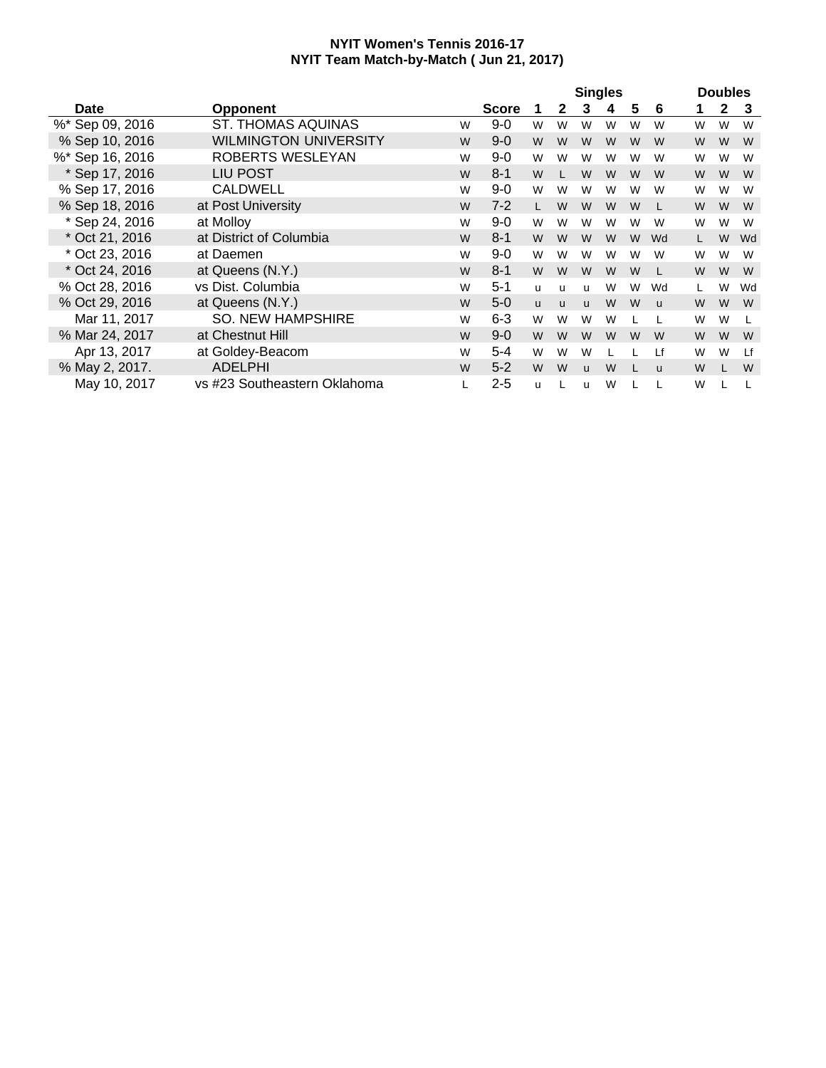|                 |                              |   |              |   |              | <b>Singles</b> |   |   |              |   | <b>Doubles</b> |    |
|-----------------|------------------------------|---|--------------|---|--------------|----------------|---|---|--------------|---|----------------|----|
| Date            | <b>Opponent</b>              |   | <b>Score</b> | 1 | $\mathbf{2}$ | 3              | 4 | 5 | 6            | 1 | $\mathbf{2}$   | -3 |
| %* Sep 09, 2016 | <b>ST. THOMAS AQUINAS</b>    | W | $9 - 0$      | W | W            | W              | W | W | W            | W | W              | W  |
| % Sep 10, 2016  | <b>WILMINGTON UNIVERSITY</b> | W | $9 - 0$      | W | W            | W              | W | W | W            | W | W              | W  |
| %* Sep 16, 2016 | ROBERTS WESLEYAN             | W | $9 - 0$      | W | W            | W              | W | W | W            | W | W              | W  |
| * Sep 17, 2016  | <b>LIU POST</b>              | W | $8 - 1$      | W | L            | W              | W | W | W            | W | W              | W  |
| % Sep 17, 2016  | <b>CALDWELL</b>              | W | $9 - 0$      | W | W            | W              | W | W | W            | W | W              | W  |
| % Sep 18, 2016  | at Post University           | W | $7 - 2$      | L | W            | W              | W | W |              | W | W              | W  |
| * Sep 24, 2016  | at Molloy                    | W | $9-0$        | W | W            | W              | W | W | W            | W | W              | W  |
| * Oct 21, 2016  | at District of Columbia      | W | $8 - 1$      | W | W            | W              | W | W | Wd           |   | W              | Wd |
| * Oct 23, 2016  | at Daemen                    | W | $9-0$        | W | W            | W              | W | W | W            | W | W              | W  |
| * Oct 24, 2016  | at Queens (N.Y.)             | W | $8 - 1$      | W | W            | W              | W | W |              | W | W              | W  |
| % Oct 28, 2016  | vs Dist. Columbia            | W | $5 - 1$      | u | u            | u              | W | W | Wd           |   | W              | Wd |
| % Oct 29, 2016  | at Queens (N.Y.)             | W | $5-0$        | u | u            | <b>u</b>       | W | W | $\mathbf{u}$ | W | W              | W  |
| Mar 11, 2017    | <b>SO. NEW HAMPSHIRE</b>     | W | $6 - 3$      | W | W            | W              | W |   |              | W | W              |    |
| % Mar 24, 2017  | at Chestnut Hill             | W | $9 - 0$      | W | W            | W              | W | W | W            | W | W              | W  |
| Apr 13, 2017    | at Goldey-Beacom             | W | $5 - 4$      | W | W            | W              |   |   | Lf           | W | W              | Lf |
| % May 2, 2017.  | <b>ADELPHI</b>               | W | $5 - 2$      | W | W            | $\mathbf{u}$   | W | L | <b>u</b>     | W |                | W  |
| May 10, 2017    | vs #23 Southeastern Oklahoma |   | $2 - 5$      | u |              | u              | W |   |              | W |                |    |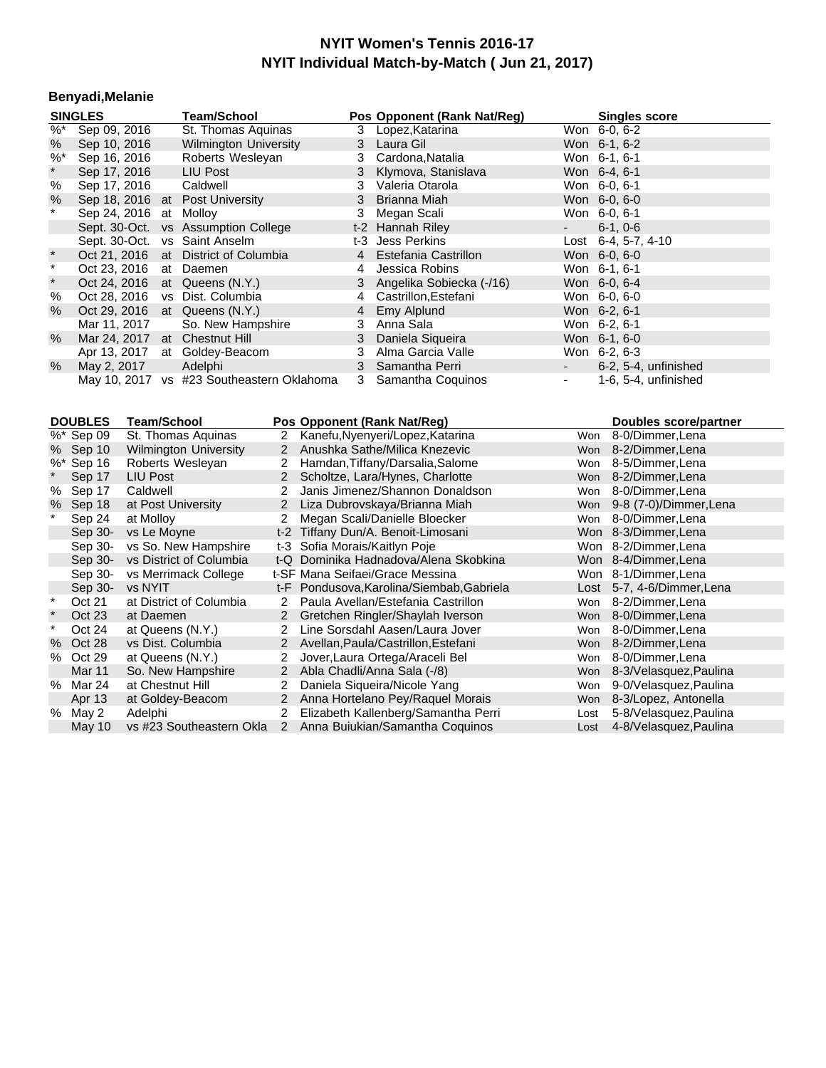#### **Benyadi,Melanie**

|            | <b>SINGLES</b>                | <b>Team/School</b>                        |   | Pos Opponent (Rank Nat/Reg) |                              | <b>Singles score</b> |
|------------|-------------------------------|-------------------------------------------|---|-----------------------------|------------------------------|----------------------|
| %*         | Sep 09, 2016                  | St. Thomas Aguinas                        |   | 3 Lopez, Katarina           |                              | Won 6-0, 6-2         |
| $\%$       | Sep 10, 2016                  | <b>Wilmington University</b>              |   | 3 Laura Gil                 |                              | Won 6-1, 6-2         |
| $\%^*$     | Sep 16, 2016                  | Roberts Wesleyan                          |   | 3 Cardona, Natalia          |                              | Won 6-1, 6-1         |
| $^\star$   | Sep 17, 2016                  | LIU Post                                  |   | 3 Klymova, Stanislava       |                              | Won 6-4, 6-1         |
| %          | Sep 17, 2016                  | Caldwell                                  | 3 | Valeria Otarola             |                              | Won 6-0, 6-1         |
| %          |                               | Sep 18, 2016 at Post University           |   | 3 Brianna Miah              |                              | Won 6-0, 6-0         |
| $\star$    | Sep 24, 2016 at Molloy        |                                           | 3 | Megan Scali                 |                              | Won 6-0, 6-1         |
|            |                               | Sept. 30-Oct. vs Assumption College       |   | t-2 Hannah Riley            | $\sim 100$                   | $6-1, 0-6$           |
|            |                               | Sept. 30-Oct. vs Saint Anselm             |   | t-3 Jess Perkins            |                              | Lost 6-4, 5-7, 4-10  |
| $^\star$   |                               | Oct 21, 2016 at District of Columbia      |   | 4 Estefania Castrillon      |                              | Won 6-0, 6-0         |
| $\star$    | Oct 23, 2016 at Daemen        |                                           | 4 | Jessica Robins              |                              | Won 6-1, 6-1         |
| $^{\star}$ |                               | Oct 24, 2016 at Queens (N.Y.)             |   | 3 Angelika Sobiecka (-/16)  |                              | Won 6-0, 6-4         |
| %          |                               | Oct 28, 2016 vs Dist. Columbia            |   | 4 Castrillon, Estefani      |                              | Won 6-0, 6-0         |
| $\%$       |                               | Oct 29, 2016 at Queens (N.Y.)             |   | 4 Emy Alplund               |                              | Won 6-2, 6-1         |
|            | Mar 11, 2017                  | So. New Hampshire                         | 3 | Anna Sala                   |                              | Won 6-2, 6-1         |
| %          | Mar 24, 2017 at Chestnut Hill |                                           |   | 3 Daniela Siqueira          |                              | Won 6-1, 6-0         |
|            |                               | Apr 13, 2017 at Goldey-Beacom             |   | 3 Alma Garcia Valle         |                              | Won 6-2, 6-3         |
| %          | May 2, 2017 Adelphi           |                                           |   | 3 Samantha Perri            | $\sim 100$                   | 6-2, 5-4, unfinished |
|            |                               | May 10, 2017 vs #23 Southeastern Oklahoma |   | 3 Samantha Coquinos         | $\mathcal{L}_{\mathrm{max}}$ | 1-6, 5-4, unfinished |

|          | <b>DOUBLES</b>        | Team/School                  |                      | Pos Opponent (Rank Nat/Req)               |      | <b>Doubles score/partner</b> |  |
|----------|-----------------------|------------------------------|----------------------|-------------------------------------------|------|------------------------------|--|
|          | $\frac{1}{26}$ Sep 09 | St. Thomas Aguinas           | $\overline{2}$       | Kanefu, Nyenyeri/Lopez, Katarina          | Won  | 8-0/Dimmer, Lena             |  |
|          | % Sep 10              | <b>Wilmington University</b> | 2                    | Anushka Sathe/Milica Knezevic             | Won  | 8-2/Dimmer, Lena             |  |
|          | %* Sep 16             | Roberts Wesleyan             | 2                    | Hamdan, Tiffany/Darsalia, Salome          | Won  | 8-5/Dimmer, Lena             |  |
|          | Sep 17                | <b>LIU Post</b>              | $\overline{2}$       | Scholtze, Lara/Hynes, Charlotte           |      | Won 8-2/Dimmer, Lena         |  |
|          | % Sep 17              | Caldwell                     | 2                    | Janis Jimenez/Shannon Donaldson           | Won  | 8-0/Dimmer, Lena             |  |
|          | % Sep 18              | at Post University           | $\mathbf{2}$         | Liza Dubrovskaya/Brianna Miah             | Won  | 9-8 (7-0)/Dimmer, Lena       |  |
|          | Sep 24                | at Molloy                    |                      | Megan Scali/Danielle Bloecker             | Won  | 8-0/Dimmer, Lena             |  |
|          | Sep 30-               | vs Le Moyne                  |                      | t-2 Tiffany Dun/A. Benoit-Limosani        |      | Won 8-3/Dimmer, Lena         |  |
|          | Sep 30-               | vs So. New Hampshire         |                      | t-3 Sofia Morais/Kaitlyn Poje             |      | Won 8-2/Dimmer, Lena         |  |
|          | Sep 30-               | vs District of Columbia      |                      | t-Q Dominika Hadnadova/Alena Skobkina     |      | Won 8-4/Dimmer, Lena         |  |
|          | Sep 30-               | vs Merrimack College         |                      | t-SF Mana Seifaei/Grace Messina           |      | Won 8-1/Dimmer, Lena         |  |
|          | Sep 30-               | vs NYIT                      |                      | t-F Pondusova, Karolina/Siembab, Gabriela |      | Lost 5-7, 4-6/Dimmer, Lena   |  |
| $\star$  | Oct 21                | at District of Columbia      | 2                    | Paula Avellan/Estefania Castrillon        | Won  | 8-2/Dimmer, Lena             |  |
| $\ast$   | Oct 23                | at Daemen                    | $\mathbf{2}$         | Gretchen Ringler/Shaylah Iverson          | Won  | 8-0/Dimmer, Lena             |  |
| $^\star$ | Oct 24                | at Queens (N.Y.)             | 2                    | Line Sorsdahl Aasen/Laura Jover           | Won  | 8-0/Dimmer, Lena             |  |
|          | % Oct 28              | vs Dist. Columbia            | $\mathbf{2}$         | Avellan, Paula/Castrillon, Estefani       | Won  | 8-2/Dimmer, Lena             |  |
|          | % Oct 29              | at Queens (N.Y.)             | $\mathbf{2}^{\circ}$ | Jover, Laura Ortega/Araceli Bel           | Won  | 8-0/Dimmer, Lena             |  |
|          | <b>Mar 11</b>         | So. New Hampshire            | $\mathbf{2}^{\circ}$ | Abla Chadli/Anna Sala (-/8)               | Won  | 8-3/Velasquez, Paulina       |  |
|          | % Mar 24              | at Chestnut Hill             | 2                    | Daniela Sigueira/Nicole Yang              | Won  | 9-0/Velasquez, Paulina       |  |
|          | Apr 13                | at Goldey-Beacom             | 2                    | Anna Hortelano Pey/Raquel Morais          | Won  | 8-3/Lopez, Antonella         |  |
|          | % May 2               | Adelphi                      |                      | Elizabeth Kallenberg/Samantha Perri       | Lost | 5-8/Velasquez, Paulina       |  |
|          | May 10                | vs #23 Southeastern Okla     | 2                    | Anna Buiukian/Samantha Coquinos           |      | Lost 4-8/Velasquez, Paulina  |  |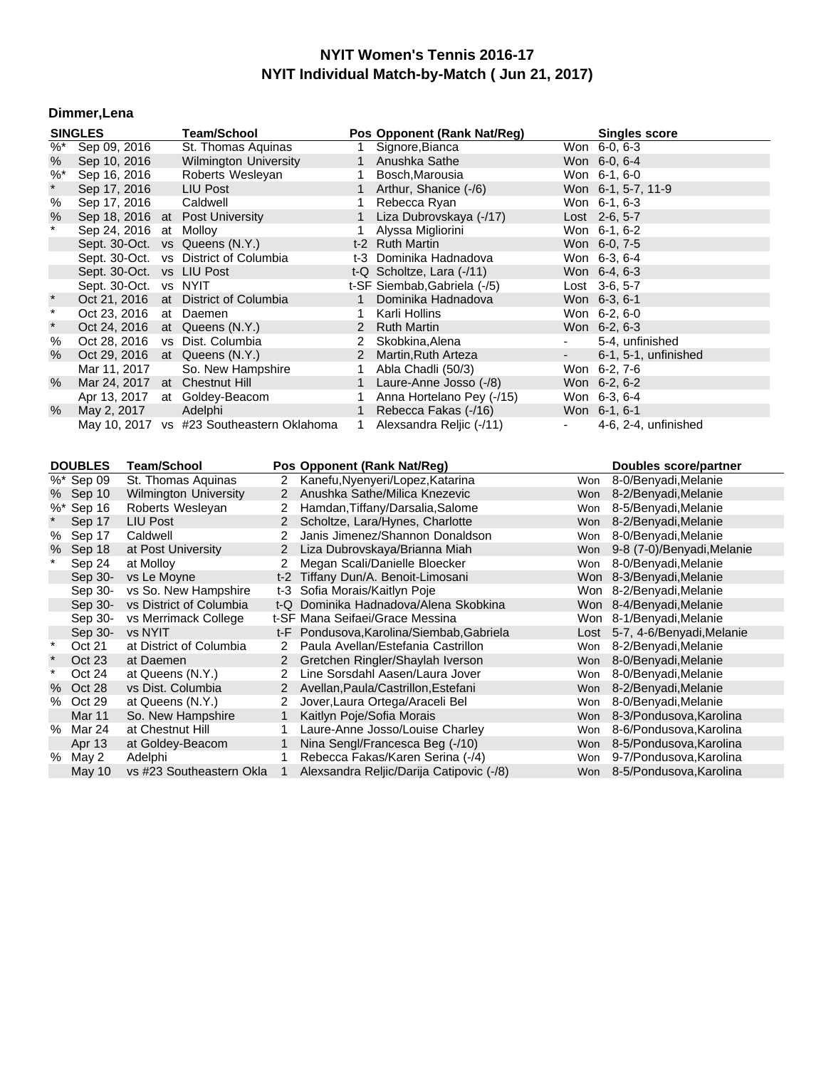#### **Dimmer,Lena**

|               | <b>SINGLES</b>         |                    | <b>Team/School</b>                        |                |                               |                | Pos Opponent (Rank Nat/Reg)                                                  |                 |     | <b>Singles score</b>                                   |
|---------------|------------------------|--------------------|-------------------------------------------|----------------|-------------------------------|----------------|------------------------------------------------------------------------------|-----------------|-----|--------------------------------------------------------|
| $\frac{9}{6}$ | Sep 09, 2016           |                    | St. Thomas Aquinas                        |                | 1                             |                | Signore, Bianca                                                              | Won 6-0, 6-3    |     |                                                        |
| %             | Sep 10, 2016           |                    | <b>Wilmington University</b>              |                | $\mathbf{1}$                  |                | Anushka Sathe                                                                | Won 6-0, 6-4    |     |                                                        |
| $%$ *         | Sep 16, 2016           |                    | Roberts Wesleyan                          |                |                               | $\mathbf{1}$   | Bosch, Marousia                                                              | Won 6-1, 6-0    |     |                                                        |
| $\star$       | Sep 17, 2016           |                    | <b>LIU Post</b>                           |                | $\mathbf{1}$                  |                | Arthur, Shanice (-/6)                                                        |                 |     | Won 6-1, 5-7, 11-9                                     |
| $\%$          | Sep 17, 2016           |                    | Caldwell                                  |                | 1                             |                | Rebecca Ryan                                                                 | Won 6-1, 6-3    |     |                                                        |
| %             | Sep 18, 2016           |                    | at Post University                        |                | 1                             |                | Liza Dubrovskaya (-/17)                                                      | Lost 2-6, 5-7   |     |                                                        |
| $^\star$      | Sep 24, 2016 at Molloy |                    |                                           |                | 1                             |                | Alyssa Migliorini                                                            | Won 6-1, 6-2    |     |                                                        |
|               |                        |                    | Sept. 30-Oct. vs Queens (N.Y.)            |                |                               |                | t-2 Ruth Martin                                                              | Won 6-0, 7-5    |     |                                                        |
|               |                        |                    | Sept. 30-Oct. vs District of Columbia     |                |                               |                | t-3 Dominika Hadnadova                                                       | Won 6-3, 6-4    |     |                                                        |
|               |                        |                    | Sept. 30-Oct. vs LIU Post                 |                |                               |                | t-Q Scholtze, Lara (-/11)                                                    | Won 6-4, 6-3    |     |                                                        |
|               | Sept. 30-Oct.          |                    | vs NYIT                                   |                |                               |                | t-SF Siembab, Gabriela (-/5)                                                 | Lost $3-6, 5-7$ |     |                                                        |
| $\star$       | Oct 21, 2016           |                    | at District of Columbia                   |                | $\mathbf{1}$                  |                | Dominika Hadnadova                                                           | Won 6-3, 6-1    |     |                                                        |
| $\star$       | Oct 23, 2016           |                    | at Daemen                                 |                | 1                             |                | Karli Hollins                                                                | Won 6-2, 6-0    |     |                                                        |
| $\star$       |                        |                    | Oct 24, 2016 at Queens (N.Y.)             |                | $\overline{2}$                |                | <b>Ruth Martin</b>                                                           | Won 6-2, 6-3    |     |                                                        |
| %             | Oct 28, 2016           |                    | vs Dist. Columbia                         |                |                               | $\overline{2}$ | Skobkina, Alena                                                              | $\blacksquare$  |     | 5-4, unfinished                                        |
| $\%$          |                        |                    | Oct 29, 2016 at Queens (N.Y.)             |                | $\overline{2}$                |                | Martin, Ruth Arteza                                                          |                 |     | 6-1, 5-1, unfinished                                   |
|               | Mar 11, 2017           |                    | So. New Hampshire                         |                | 1                             |                | Abla Chadli (50/3)                                                           | Won 6-2, 7-6    |     |                                                        |
| $\%$          |                        |                    | Mar 24, 2017 at Chestnut Hill             |                | 1                             |                | Laure-Anne Josso (-/8)                                                       | Won 6-2, 6-2    |     |                                                        |
|               | Apr 13, 2017           |                    | at Goldey-Beacom                          |                | 1                             |                | Anna Hortelano Pey (-/15)                                                    | Won 6-3, 6-4    |     |                                                        |
| $\%$          | May 2, 2017            |                    | Adelphi                                   |                | $\mathbf{1}$                  |                | Rebecca Fakas (-/16)                                                         | Won 6-1, 6-1    |     |                                                        |
|               |                        |                    | May 10, 2017 vs #23 Southeastern Oklahoma |                | 1                             |                | Alexsandra Reljic (-/11)                                                     |                 |     | 4-6, 2-4, unfinished                                   |
|               |                        |                    |                                           |                |                               |                |                                                                              |                 |     |                                                        |
|               |                        |                    |                                           |                |                               |                |                                                                              |                 |     |                                                        |
|               |                        |                    |                                           |                |                               |                |                                                                              |                 |     |                                                        |
|               | <b>DOUBLES</b>         | <b>Team/School</b> |                                           |                |                               |                | Pos Opponent (Rank Nat/Reg)                                                  |                 |     | <b>Doubles score/partner</b>                           |
|               | %* Sep 09              |                    | St. Thomas Aquinas                        | $\mathbf{2}$   |                               |                | Kanefu, Nyenyeri/Lopez, Katarina                                             | Won             |     | 8-0/Benyadi, Melanie                                   |
|               | % Sep 10               |                    | <b>Wilmington University</b>              | $\mathbf{2}$   |                               |                | Anushka Sathe/Milica Knezevic                                                | Won             |     | 8-2/Benyadi, Melanie                                   |
|               | %* Sep 16              |                    | Roberts Wesleyan                          | 2              |                               |                | Hamdan, Tiffany/Darsalia, Salome                                             |                 | Won | 8-5/Benyadi, Melanie                                   |
| $\star$       | Sep 17                 | LIU Post           |                                           | $\overline{2}$ |                               |                | Scholtze, Lara/Hynes, Charlotte                                              | Won             |     | 8-2/Benyadi, Melanie                                   |
| ℅             | Sep 17                 | Caldwell           |                                           | 2              |                               |                | Janis Jimenez/Shannon Donaldson                                              | Won             |     | 8-0/Benyadi, Melanie                                   |
| $\%$          | Sep 18                 | at Post University |                                           | $\overline{c}$ |                               |                | Liza Dubrovskaya/Brianna Miah                                                | Won             |     | 9-8 (7-0)/Benyadi, Melanie                             |
|               | Sep 24                 | at Molloy          |                                           | 2              |                               |                | Megan Scali/Danielle Bloecker                                                | Won             |     | 8-0/Benyadi, Melanie                                   |
|               | Sep 30-                | vs Le Moyne        |                                           |                |                               |                | t-2 Tiffany Dun/A. Benoit-Limosani                                           |                 |     | Won 8-3/Benyadi, Melanie                               |
|               | Sep 30-                |                    | vs So. New Hampshire                      |                | t-3 Sofia Morais/Kaitlyn Poje |                |                                                                              |                 |     | Won 8-2/Benyadi, Melanie                               |
|               | Sep 30-                |                    | vs District of Columbia                   |                |                               |                | t-Q Dominika Hadnadova/Alena Skobkina                                        |                 |     | Won 8-4/Benyadi, Melanie                               |
|               | Sep 30-                |                    | vs Merrimack College                      |                |                               |                | t-SF Mana Seifaei/Grace Messina                                              |                 |     | Won 8-1/Benyadi, Melanie                               |
|               | Sep 30-                | vs NYIT            |                                           |                |                               |                | t-F Pondusova, Karolina/Siembab, Gabriela                                    |                 |     | Lost 5-7, 4-6/Benyadi, Melanie                         |
| $\star$       | Oct 21                 |                    | at District of Columbia                   | $\mathbf{2}$   |                               |                | Paula Avellan/Estefania Castrillon                                           | Won             |     | 8-2/Benyadi, Melanie                                   |
| $\star$       | Oct 23                 | at Daemen          |                                           | $\overline{2}$ |                               |                | Gretchen Ringler/Shaylah Iverson                                             | Won             |     | 8-0/Benyadi, Melanie                                   |
| $\star$       | Oct 24                 | at Queens (N.Y.)   |                                           | $\overline{2}$ |                               |                | Line Sorsdahl Aasen/Laura Jover                                              | Won             |     | 8-0/Benyadi, Melanie                                   |
| $\%$          | Oct 28                 | vs Dist. Columbia  |                                           | 2 <sup>1</sup> |                               |                | Avellan, Paula/Castrillon, Estefani                                          | Won             |     | 8-2/Benyadi, Melanie                                   |
| $\%$          | Oct 29                 | at Queens (N.Y.)   |                                           | 2              |                               |                | Jover, Laura Ortega/Araceli Bel                                              |                 | Won | 8-0/Benyadi, Melanie                                   |
|               | Mar 11                 |                    | So. New Hampshire                         | $\mathbf{1}$   | Kaitlyn Poje/Sofia Morais     |                |                                                                              | Won             |     | 8-3/Pondusova, Karolina                                |
| %             | Mar 24                 | at Chestnut Hill   |                                           | 1              |                               |                | Laure-Anne Josso/Louise Charley                                              | Won             |     | 8-6/Pondusova, Karolina                                |
|               | Apr 13                 |                    | at Goldey-Beacom                          | $\mathbf{1}$   |                               |                | Nina Sengl/Francesca Beg (-/10)                                              | Won             |     | 8-5/Pondusova, Karolina                                |
|               | % May 2<br>May 10      | Adelphi            |                                           | 1              |                               |                | Rebecca Fakas/Karen Serina (-/4)<br>Alexsandra Reljic/Darija Catipovic (-/8) | Won             |     | 9-7/Pondusova, Karolina<br>Won 8-5/Pondusova, Karolina |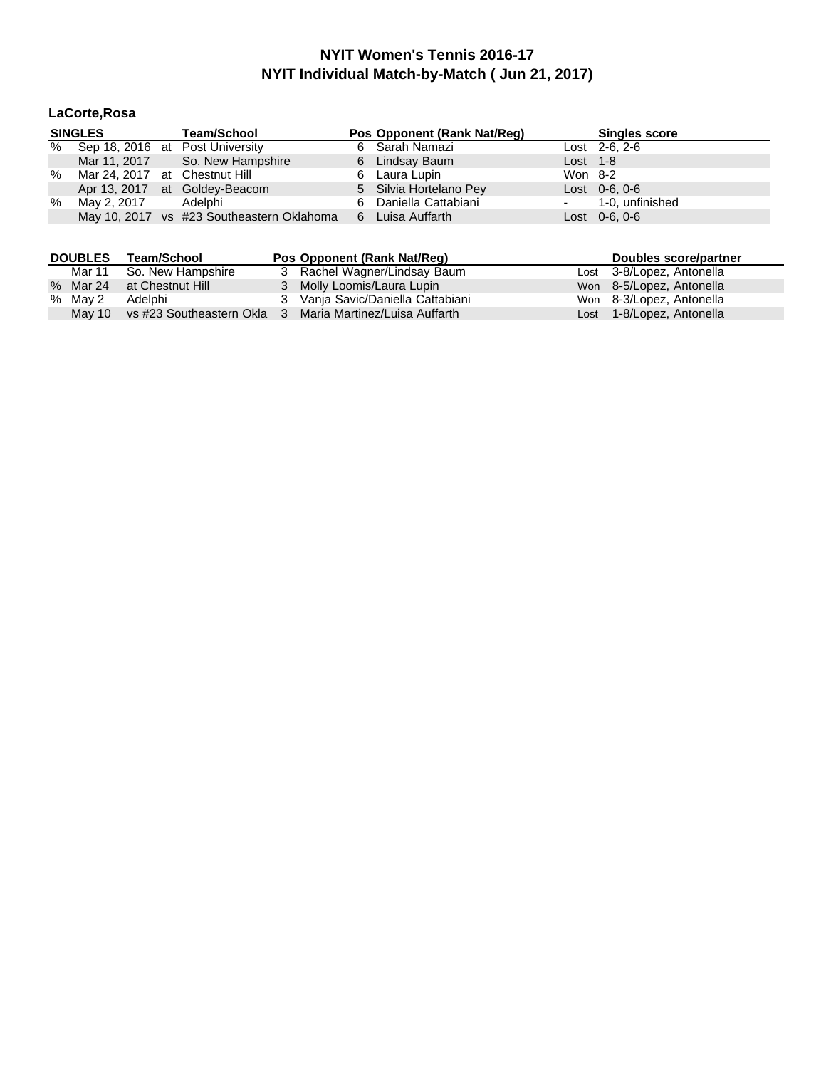## **LaCorte,Rosa**

|   | <b>SINGLES</b>                | <b>Team/School</b>                        | Pos Opponent (Rank Nat/Req) |            | <b>Singles score</b> |
|---|-------------------------------|-------------------------------------------|-----------------------------|------------|----------------------|
| % |                               | Sep 18, 2016 at Post University           | 6 Sarah Namazi              |            | $Last 2-6, 2-6$      |
|   |                               | Mar 11, 2017 So. New Hampshire            | 6 Lindsay Baum              | Lost $1-8$ |                      |
| % | Mar 24, 2017 at Chestnut Hill |                                           | 6 Laura Lupin               | Won 8-2    |                      |
|   |                               | Apr 13, 2017 at Goldey-Beacom             | 5 Silvia Hortelano Pey      |            | $Last 0-6, 0-6$      |
| % | May 2, 2017                   | Adelphi                                   | 6 Daniella Cattabiani       |            | - 1-0, unfinished    |
|   |                               | May 10, 2017 vs #23 Southeastern Oklahoma | 6 Luisa Auffarth            |            | $Last 0-6, 0-6$      |

| <b>DOUBLES</b> | Team/School               | Pos Opponent (Rank Nat/Req)                              | Doubles score/partner     |
|----------------|---------------------------|----------------------------------------------------------|---------------------------|
|                | Mar 11 So. New Hampshire  | 3 Rachel Wagner/Lindsay Baum                             | Lost 3-8/Lopez, Antonella |
|                | % Mar 24 at Chestnut Hill | 3 Molly Loomis/Laura Lupin                               | Won 8-5/Lopez, Antonella  |
| % May 2        | Adelphi                   | 3 Vanja Savic/Daniella Cattabiani                        | Won 8-3/Lopez, Antonella  |
| May 10         |                           | vs #23 Southeastern Okla 3 Maria Martinez/Luisa Auffarth | Lost 1-8/Lopez, Antonella |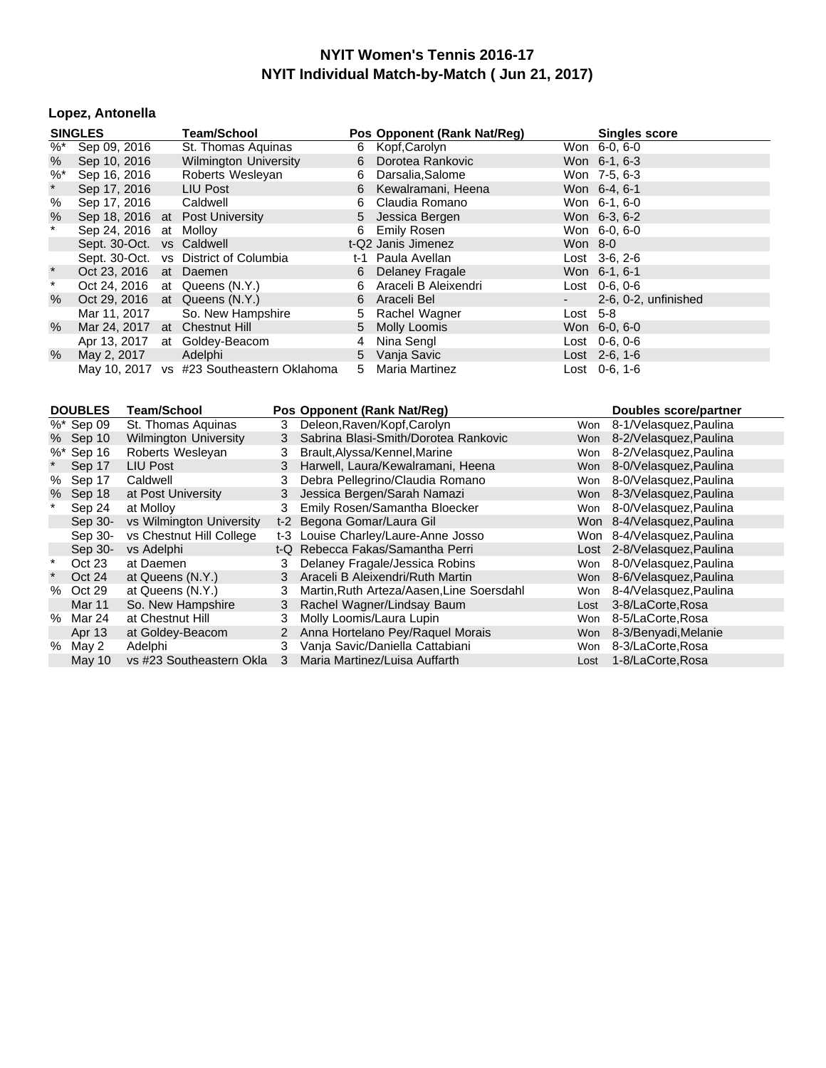#### **Lopez, Antonella**

|            | <b>SINGLES</b>                | <b>Team/School</b>                        |   | Pos Opponent (Rank Nat/Reg) |            | <b>Singles score</b> |
|------------|-------------------------------|-------------------------------------------|---|-----------------------------|------------|----------------------|
|            | $\frac{1}{26}$ Sep 09, 2016   | St. Thomas Aguinas                        |   | 6 Kopf, Carolyn             |            | Won 6-0, 6-0         |
| %          | Sep 10, 2016                  | <b>Wilmington University</b>              |   | 6 Dorotea Rankovic          |            | Won 6-1, 6-3         |
| $\%^*$     | Sep 16, 2016                  | Roberts Wesleyan                          | 6 | Darsalia,Salome             |            | Won 7-5, 6-3         |
| $\star$    | Sep 17, 2016                  | LIU Post                                  |   | 6 Kewalramani, Heena        |            | Won 6-4, 6-1         |
| %          | Sep 17, 2016 Caldwell         |                                           | 6 | Claudia Romano              |            | Won 6-1, 6-0         |
| %          |                               | Sep 18, 2016 at Post University           |   | 5 Jessica Bergen            |            | Won 6-3, 6-2         |
| $\ast$     | Sep 24, 2016 at Molloy        |                                           |   | 6 Emily Rosen               |            | Won 6-0, 6-0         |
|            | Sept. 30-Oct. vs Caldwell     |                                           |   | t-Q2 Janis Jimenez          | Won 8-0    |                      |
|            |                               | Sept. 30-Oct. vs District of Columbia     |   | t-1 Paula Avellan           |            | $Last \, 3-6.2-6$    |
| $^{\star}$ | Oct 23, 2016 at Daemen        |                                           |   | 6 Delaney Fragale           |            | Won 6-1, 6-1         |
| $\star$    |                               | Oct 24, 2016 at Queens (N.Y.)             |   | 6 Araceli B Aleixendri      |            | $Last 0-6.0-6$       |
| $\%$       |                               | Oct 29, 2016 at Queens (N.Y.)             |   | 6 Araceli Bel               |            | 2-6, 0-2, unfinished |
|            | Mar 11, 2017                  | So. New Hampshire                         |   | 5 Rachel Wagner             | Lost $5-8$ |                      |
| $\%$       | Mar 24, 2017 at Chestnut Hill |                                           |   | 5 Molly Loomis              |            | Won 6-0, 6-0         |
|            |                               | Apr 13, 2017 at Goldey-Beacom             | 4 | Nina Sengl                  |            | Lost 0-6, 0-6        |
| %          | May 2, 2017                   | Adelphi                                   |   | 5 Vanja Savic               |            | Lost 2-6, 1-6        |
|            |                               | May 10, 2017 vs #23 Southeastern Oklahoma |   | 5 Maria Martinez            |            | Lost 0-6, 1-6        |

| <b>DOUBLES</b> |               | Team/School                  |    | Pos Opponent (Rank Nat/Reg)               |            | Doubles score/partner      |
|----------------|---------------|------------------------------|----|-------------------------------------------|------------|----------------------------|
|                | %* Sep 09     | St. Thomas Aguinas           | 3. | Deleon, Raven/Kopf, Carolyn               | Won        | 8-1/Velasquez, Paulina     |
|                | % Sep 10      | <b>Wilmington University</b> | 3  | Sabrina Blasi-Smith/Dorotea Rankovic      | Won        | 8-2/Velasquez, Paulina     |
|                | %* Sep 16     | Roberts Wesleyan             | 3  | Brault, Alyssa/Kennel, Marine             | Won        | 8-2/Velasquez, Paulina     |
|                | Sep 17        | <b>LIU Post</b>              | 3  | Harwell, Laura/Kewalramani, Heena         | <b>Won</b> | 8-0/Velasquez, Paulina     |
| %              | Sep 17        | Caldwell                     | 3  | Debra Pellegrino/Claudia Romano           | Won        | 8-0/Velasquez, Paulina     |
| %              | Sep 18        | at Post University           | 3  | Jessica Bergen/Sarah Namazi               | <b>Won</b> | 8-3/Velasquez, Paulina     |
|                | Sep 24        | at Mollov                    | 3  | Emily Rosen/Samantha Bloecker             | Won        | 8-0/Velasquez, Paulina     |
|                | Sep 30-       | vs Wilmington University     |    | t-2 Begona Gomar/Laura Gil                |            | Won 8-4/Velasquez, Paulina |
|                | Sep 30-       | vs Chestnut Hill College     |    | t-3 Louise Charley/Laure-Anne Josso       | Won        | 8-4/Velasquez, Paulina     |
|                | Sep 30-       | vs Adelphi                   |    | t-Q Rebecca Fakas/Samantha Perri          | Lost       | 2-8/Velasquez, Paulina     |
|                | Oct 23        | at Daemen                    |    | Delaney Fragale/Jessica Robins            | Won        | 8-0/Velasquez, Paulina     |
|                | Oct 24        | at Queens (N.Y.)             | 3  | Araceli B Aleixendri/Ruth Martin          | <b>Won</b> | 8-6/Velasquez, Paulina     |
| %              | Oct 29        | at Queens (N.Y.)             | 3. | Martin, Ruth Arteza/Aasen, Line Soersdahl | Won        | 8-4/Velasquez, Paulina     |
|                | <b>Mar 11</b> | So. New Hampshire            | 3  | Rachel Wagner/Lindsay Baum                | Lost       | 3-8/LaCorte, Rosa          |
| %              | Mar 24        | at Chestnut Hill             | 3  | Molly Loomis/Laura Lupin                  | Won        | 8-5/LaCorte, Rosa          |
|                | Apr 13        | at Goldey-Beacom             | 2  | Anna Hortelano Pey/Raquel Morais          | <b>Won</b> | 8-3/Benyadi, Melanie       |
| %              | May 2         | Adelphi                      | 3  | Vanja Savic/Daniella Cattabiani           | Won        | 8-3/LaCorte, Rosa          |
|                | May 10        | vs #23 Southeastern Okla     | 3  | Maria Martinez/Luisa Auffarth             | Lost       | 1-8/LaCorte, Rosa          |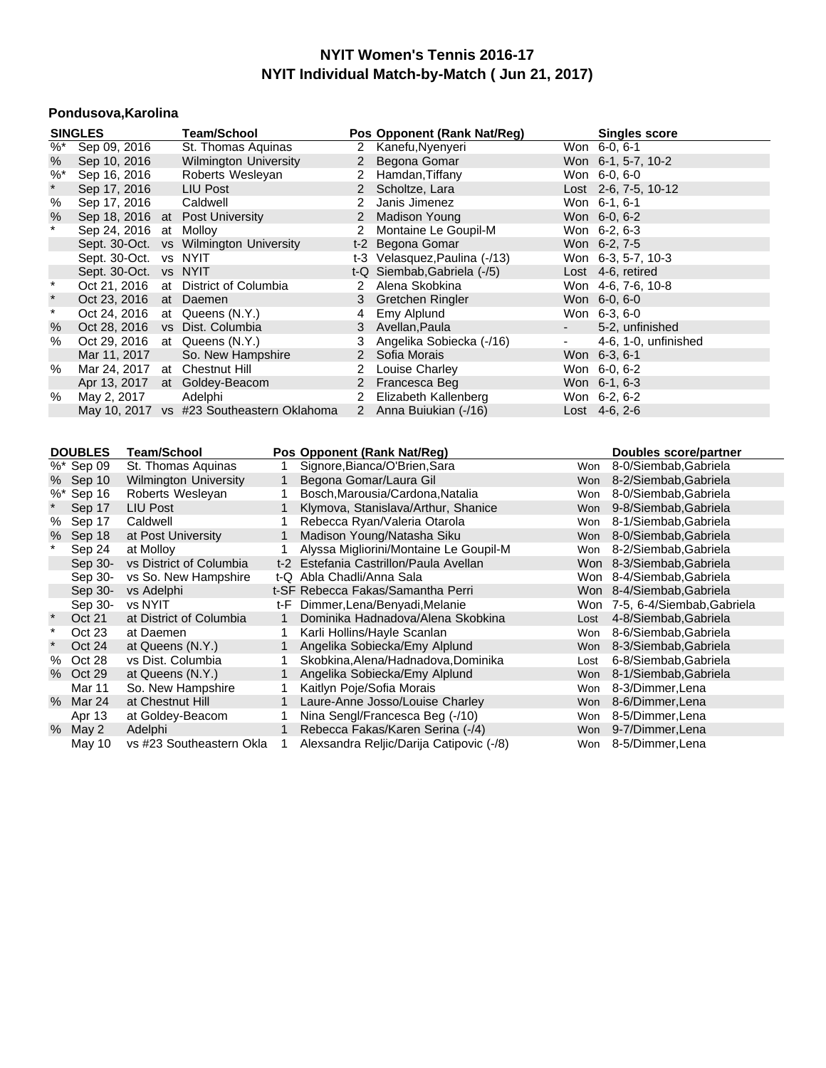#### **Pondusova,Karolina**

| <b>SINGLES</b>                                                              |                        |  | <b>Team/School</b>                        |                       | Pos Opponent (Rank Nat/Reg)   |                     | <b>Singles score</b> |
|-----------------------------------------------------------------------------|------------------------|--|-------------------------------------------|-----------------------|-------------------------------|---------------------|----------------------|
| %*                                                                          | Sep 09, 2016           |  | St. Thomas Aquinas                        |                       | 2 Kanefu, Nyenyeri            |                     | Won 6-0, 6-1         |
| %                                                                           | Sep 10, 2016           |  | <b>Wilmington University</b>              |                       | 2 Begona Gomar                |                     | Won 6-1, 5-7, 10-2   |
| $\%^*$                                                                      | Sep 16, 2016           |  | Roberts Wesleyan                          | 2                     | Hamdan,Tiffany                |                     | Won 6-0, 6-0         |
| $\star$                                                                     | Sep 17, 2016           |  | LIU Post                                  |                       | 2 Scholtze, Lara              |                     | Lost 2-6, 7-5, 10-12 |
| %                                                                           | Sep 17, 2016           |  | Caldwell                                  | $\mathbf{2}$          | Janis Jimenez                 |                     | Won 6-1, 6-1         |
| %                                                                           |                        |  | Sep 18, 2016 at Post University           | $\mathbf{2}^{\prime}$ | Madison Young                 |                     | Won 6-0, 6-2         |
| $\star$                                                                     | Sep 24, 2016 at Molloy |  |                                           | $\mathbf{2}^{\circ}$  | Montaine Le Goupil-M          |                     | Won 6-2, 6-3         |
|                                                                             |                        |  | Sept. 30-Oct. vs Wilmington University    |                       | t-2 Begona Gomar              |                     | Won 6-2, 7-5         |
|                                                                             | Sept. 30-Oct. vs NYIT  |  |                                           |                       | t-3 Velasquez, Paulina (-/13) |                     | Won 6-3, 5-7, 10-3   |
|                                                                             | Sept. 30-Oct. vs NYIT  |  |                                           |                       | t-Q Siembab, Gabriela (-/5)   |                     | Lost 4-6, retired    |
| $\star$                                                                     |                        |  | Oct 21, 2016 at District of Columbia      | 2                     | Alena Skobkina                |                     | Won 4-6, 7-6, 10-8   |
| $\star$                                                                     | Oct 23, 2016 at Daemen |  |                                           |                       | 3 Gretchen Ringler            |                     | Won 6-0, 6-0         |
| $\ast$                                                                      |                        |  | Oct 24, 2016 at Queens (N.Y.)             | 4                     | Emy Alplund                   |                     | Won 6-3, 6-0         |
| $\%$                                                                        | Oct 28, 2016           |  | vs Dist. Columbia                         |                       | 3 Avellan, Paula              | $\sigma_{\rm{max}}$ | 5-2, unfinished      |
| %                                                                           | Oct 29, 2016           |  | at Queens (N.Y.)                          | 3                     | Angelika Sobiecka (-/16)      | $\blacksquare$      | 4-6, 1-0, unfinished |
|                                                                             | Mar 11, 2017           |  | So. New Hampshire                         |                       | 2 Sofia Morais                |                     | Won 6-3, 6-1         |
| %                                                                           | Mar 24, 2017           |  | at Chestnut Hill                          | $\mathbf{2}^{\circ}$  | Louise Charley                |                     | Won 6-0, 6-2         |
|                                                                             |                        |  | Apr 13, 2017 at Goldey-Beacom             |                       | 2 Francesca Beg               |                     | Won 6-1, 6-3         |
| %                                                                           | May 2, 2017            |  | Adelphi                                   | 2                     | Elizabeth Kallenberg          |                     | Won 6-2, 6-2         |
|                                                                             |                        |  | May 10, 2017 vs #23 Southeastern Oklahoma |                       | 2 Anna Buiukian (-/16)        |                     | Lost $4-6, 2-6$      |
|                                                                             |                        |  |                                           |                       |                               |                     |                      |
| DOURLES Toom/School<br>Doe Onnonont (Dank Nat(Doo)<br>Doubles coorplantinor |                        |  |                                           |                       |                               |                     |                      |

|          | <b>DOUBLES</b> | l eam/School                 |             | Pos Opponent (Rank Nat/Reg)              |            | Doubles score/partner          |
|----------|----------------|------------------------------|-------------|------------------------------------------|------------|--------------------------------|
|          | %* Sep 09      | St. Thomas Aquinas           |             | Signore, Bianca/O'Brien, Sara            | Won        | 8-0/Siembab, Gabriela          |
|          | % Sep 10       | <b>Wilmington University</b> | $\mathbf 1$ | Begona Gomar/Laura Gil                   | Won        | 8-2/Siembab, Gabriela          |
|          | %* Sep 16      | Roberts Wesleyan             |             | Bosch, Marousia/Cardona, Natalia         | Won        | 8-0/Siembab, Gabriela          |
|          | Sep 17         | LIU Post                     |             | Klymova, Stanislava/Arthur, Shanice      | Won        | 9-8/Siembab, Gabriela          |
| %        | Sep 17         | Caldwell                     |             | Rebecca Ryan/Valeria Otarola             | Won        | 8-1/Siembab.Gabriela           |
|          | % Sep 18       | at Post University           |             | Madison Young/Natasha Siku               | Won        | 8-0/Siembab, Gabriela          |
|          | Sep 24         | at Molloy                    |             | Alyssa Migliorini/Montaine Le Goupil-M   | Won        | 8-2/Siembab, Gabriela          |
|          | Sep 30-        | vs District of Columbia      |             | t-2 Estefania Castrillon/Paula Avellan   |            | Won 8-3/Siembab, Gabriela      |
|          | Sep 30-        | vs So. New Hampshire         |             | t-Q Abla Chadli/Anna Sala                |            | Won 8-4/Siembab.Gabriela       |
|          | Sep 30-        | vs Adelphi                   |             | t-SF Rebecca Fakas/Samantha Perri        |            | Won 8-4/Siembab, Gabriela      |
|          | Sep 30-        | vs NYIT                      | t-F         | Dimmer, Lena/Benyadi, Melanie            |            | Won 7-5, 6-4/Siembab, Gabriela |
| $\star$  | Oct 21         | at District of Columbia      |             | Dominika Hadnadova/Alena Skobkina        | Lost       | 4-8/Siembab, Gabriela          |
| $^\star$ | Oct 23         | at Daemen                    |             | Karli Hollins/Hayle Scanlan              | Won        | 8-6/Siembab, Gabriela          |
|          | Oct 24         | at Queens (N.Y.)             |             | Angelika Sobiecka/Emy Alplund            | <b>Won</b> | 8-3/Siembab, Gabriela          |
| %        | Oct 28         | vs Dist. Columbia            |             | Skobkina, Alena/Hadnadova, Dominika      | Lost       | 6-8/Siembab, Gabriela          |
|          | % Oct 29       | at Queens (N.Y.)             |             | Angelika Sobiecka/Emy Alplund            | Won        | 8-1/Siembab, Gabriela          |
|          | Mar 11         | So. New Hampshire            |             | Kaitlyn Poje/Sofia Morais                | Won        | 8-3/Dimmer, Lena               |
|          | % Mar 24       | at Chestnut Hill             |             | Laure-Anne Josso/Louise Charley          | Won        | 8-6/Dimmer, Lena               |
|          | Apr 13         | at Goldey-Beacom             |             | Nina Sengl/Francesca Beg (-/10)          | Won        | 8-5/Dimmer, Lena               |
|          | $%$ May 2      | Adelphi                      | $\mathbf 1$ | Rebecca Fakas/Karen Serina (-/4)         | Won        | 9-7/Dimmer, Lena               |
|          | May 10         | vs #23 Southeastern Okla     |             | Alexsandra Reljic/Darija Catipovic (-/8) |            | Won 8-5/Dimmer, Lena           |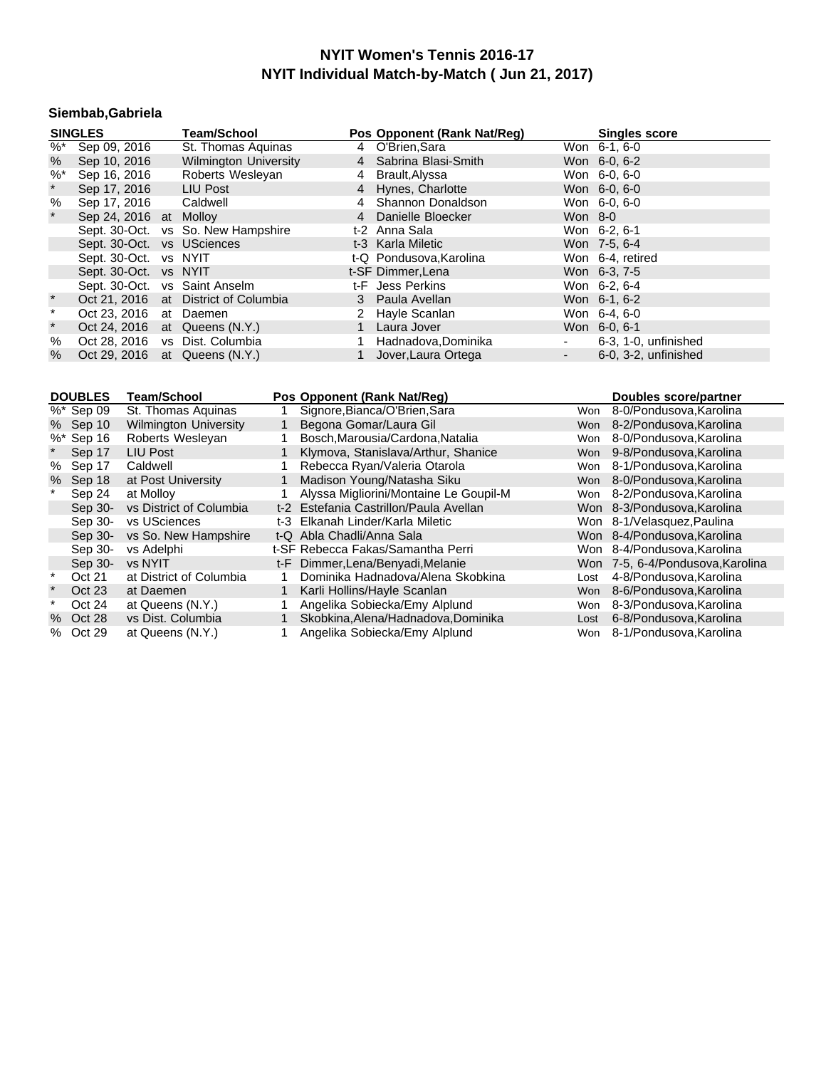### **Siembab,Gabriela**

| <b>SINGLES</b> |                               |  | <b>Team/School</b>                   |   | Pos Opponent (Rank Nat/Reg) |                     | <b>Singles score</b> |
|----------------|-------------------------------|--|--------------------------------------|---|-----------------------------|---------------------|----------------------|
|                | $\frac{1}{26}$ Sep 09, 2016   |  | St. Thomas Aquinas                   |   | 4 O'Brien, Sara             |                     | Won 6-1, 6-0         |
| %              | Sep 10, 2016                  |  | <b>Wilmington University</b>         |   | 4 Sabrina Blasi-Smith       |                     | Won 6-0, 6-2         |
| $%$ *          | Sep 16, 2016                  |  | Roberts Wesleyan                     | 4 | Brault,Alyssa               |                     | Won 6-0, 6-0         |
| $\star$        | Sep 17, 2016                  |  | LIU Post                             |   | 4 Hynes, Charlotte          |                     | Won 6-0, 6-0         |
| %              | Sep 17, 2016 Caldwell         |  |                                      | 4 | Shannon Donaldson           |                     | Won 6-0, 6-0         |
| $\star$        | Sep 24, 2016 at Molloy        |  |                                      |   | 4 Danielle Bloecker         | Won 8-0             |                      |
|                |                               |  | Sept. 30-Oct. vs So. New Hampshire   |   | t-2 Anna Sala               |                     | Won 6-2, 6-1         |
|                | Sept. 30-Oct. vs USciences    |  |                                      |   | t-3 Karla Miletic           |                     | Won 7-5, 6-4         |
|                | Sept. 30-Oct. vs NYIT         |  |                                      |   | t-Q Pondusova, Karolina     |                     | Won 6-4, retired     |
|                | Sept. 30-Oct. vs NYIT         |  |                                      |   | t-SF Dimmer, Lena           |                     | Won 6-3, 7-5         |
|                | Sept. 30-Oct. vs Saint Anselm |  |                                      |   | t-F Jess Perkins            |                     | Won 6-2, 6-4         |
| $\star$        |                               |  | Oct 21, 2016 at District of Columbia |   | 3 Paula Avellan             |                     | Won 6-1, 6-2         |
| $\pmb{\ast}$   | Oct 23, 2016 at Daemen        |  |                                      |   | 2 Hayle Scanlan             |                     | Won 6-4, 6-0         |
| $\star$        |                               |  | Oct 24, 2016 at Queens (N.Y.)        |   | 1 Laura Jover               |                     | Won 6-0, 6-1         |
| %              |                               |  | Oct 28, 2016 vs Dist. Columbia       |   | Hadnadova, Dominika         | $\sim$              | 6-3, 1-0, unfinished |
| %              |                               |  | Oct 29, 2016 at Queens $(N.Y.)$      |   | 1 Jover, Laura Ortega       | $\omega_{\rm{max}}$ | 6-0, 3-2, unfinished |

|          | <b>DOUBLES</b> | Team/School                  |     | Pos Opponent (Rank Nat/Req)            |            | Doubles score/partner        |
|----------|----------------|------------------------------|-----|----------------------------------------|------------|------------------------------|
|          | %* Sep 09      | St. Thomas Aguinas           |     | Signore, Bianca/O'Brien, Sara          | Won        | 8-0/Pondusova, Karolina      |
|          | % Sep 10       | <b>Wilmington University</b> |     | Begona Gomar/Laura Gil                 | <b>Won</b> | 8-2/Pondusova.Karolina       |
|          | $%$ * Sep 16   | Roberts Wesleyan             |     | Bosch, Marousia/Cardona, Natalia       | Won        | 8-0/Pondusova, Karolina      |
|          | Sep 17         | <b>LIU Post</b>              |     | Klymova, Stanislava/Arthur, Shanice    | <b>Won</b> | 9-8/Pondusova, Karolina      |
| %        | Sep 17         | Caldwell                     |     | Rebecca Ryan/Valeria Otarola           | Won        | 8-1/Pondusova.Karolina       |
| %        | Sep 18         | at Post University           |     | Madison Young/Natasha Siku             | <b>Won</b> | 8-0/Pondusova.Karolina       |
|          | Sep 24         | at Molloy                    |     | Alyssa Migliorini/Montaine Le Goupil-M | Won        | 8-2/Pondusova, Karolina      |
|          | Sep 30-        | vs District of Columbia      |     | t-2 Estefania Castrillon/Paula Avellan |            | Won 8-3/Pondusova, Karolina  |
|          | Sep 30-        | vs USciences                 | t-3 | Elkanah Linder/Karla Miletic           |            | Won 8-1/Velasquez, Paulina   |
|          | Sep 30-        | vs So. New Hampshire         |     | t-Q Abla Chadli/Anna Sala              |            | Won 8-4/Pondusova, Karolina  |
|          | Sep 30-        | vs Adelphi                   |     | t-SF Rebecca Fakas/Samantha Perri      |            | Won 8-4/Pondusova. Karolina  |
|          | Sep 30-        | vs NYIT                      |     | t-F Dimmer, Lena/Benyadi, Melanie      | Won        | 7-5, 6-4/Pondusova, Karolina |
| $^\star$ | Oct 21         | at District of Columbia      |     | Dominika Hadnadova/Alena Skobkina      | Lost       | 4-8/Pondusova, Karolina      |
| $\ast$   | Oct 23         | at Daemen                    |     | Karli Hollins/Hayle Scanlan            | <b>Won</b> | 8-6/Pondusova, Karolina      |
|          | Oct 24         | at Queens (N.Y.)             |     | Angelika Sobiecka/Emy Alplund          | Won        | 8-3/Pondusova, Karolina      |
|          | % Oct 28       | vs Dist. Columbia            |     | Skobkina, Alena/Hadnadova, Dominika    | Lost       | 6-8/Pondusova, Karolina      |
|          | % Oct 29       | at Queens (N.Y.)             |     | Angelika Sobiecka/Emy Alplund          | Won        | 8-1/Pondusova, Karolina      |